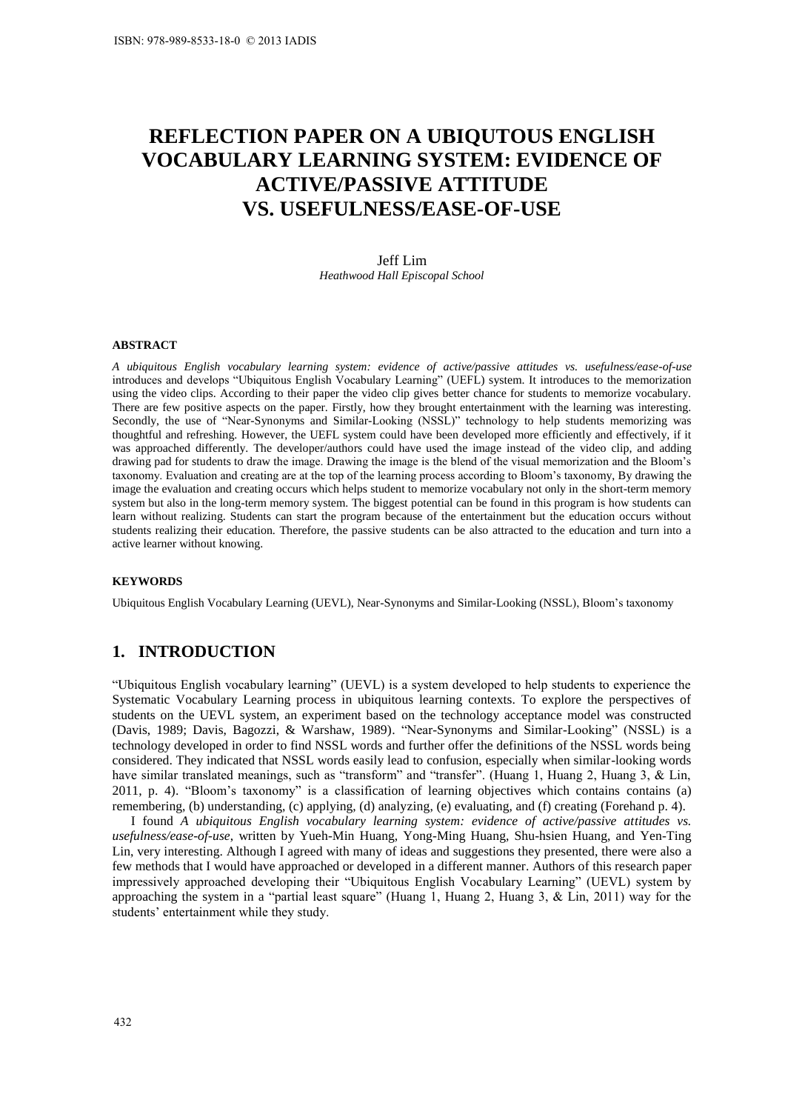# **REFLECTION PAPER ON A UBIQUTOUS ENGLISH VOCABULARY LEARNING SYSTEM: EVIDENCE OF ACTIVE/PASSIVE ATTITUDE VS. USEFULNESS/EASE-OF-USE**

Jeff Lim *Heathwood Hall Episcopal School* 

### **ABSTRACT**

*A ubiquitous English vocabulary learning system: evidence of active/passive attitudes vs. usefulness/ease-of-use*  introduces and develops "Ubiquitous English Vocabulary Learning" (UEFL) system. It introduces to the memorization using the video clips. According to their paper the video clip gives better chance for students to memorize vocabulary. There are few positive aspects on the paper. Firstly, how they brought entertainment with the learning was interesting. Secondly, the use of "Near-Synonyms and Similar-Looking (NSSL)" technology to help students memorizing was thoughtful and refreshing. However, the UEFL system could have been developed more efficiently and effectively, if it was approached differently. The developer/authors could have used the image instead of the video clip, and adding drawing pad for students to draw the image. Drawing the image is the blend of the visual memorization and the Bloom's taxonomy. Evaluation and creating are at the top of the learning process according to Bloom's taxonomy, By drawing the image the evaluation and creating occurs which helps student to memorize vocabulary not only in the short-term memory system but also in the long-term memory system. The biggest potential can be found in this program is how students can learn without realizing. Students can start the program because of the entertainment but the education occurs without students realizing their education. Therefore, the passive students can be also attracted to the education and turn into a active learner without knowing.

#### **KEYWORDS**

Ubiquitous English Vocabulary Learning (UEVL), Near-Synonyms and Similar-Looking (NSSL), Bloom's taxonomy

## **1. INTRODUCTION**

"Ubiquitous English vocabulary learning" (UEVL) is a system developed to help students to experience the Systematic Vocabulary Learning process in ubiquitous learning contexts. To explore the perspectives of students on the UEVL system, an experiment based on the technology acceptance model was constructed (Davis, 1989; Davis, Bagozzi, & Warshaw, 1989). "Near-Synonyms and Similar-Looking" (NSSL) is a technology developed in order to find NSSL words and further offer the definitions of the NSSL words being considered. They indicated that NSSL words easily lead to confusion, especially when similar-looking words have similar translated meanings, such as "transform" and "transfer". (Huang 1, Huang 2, Huang 3, & Lin, 2011, p. 4). "Bloom's taxonomy" is a classification of learning objectives which contains contains (a) remembering, (b) understanding, (c) applying, (d) analyzing, (e) evaluating, and (f) creating (Forehand p. 4).

I found *A ubiquitous English vocabulary learning system: evidence of active/passive attitudes vs. usefulness/ease-of-use*, written by Yueh-Min Huang, Yong-Ming Huang, Shu-hsien Huang, and Yen-Ting Lin, very interesting. Although I agreed with many of ideas and suggestions they presented, there were also a few methods that I would have approached or developed in a different manner. Authors of this research paper impressively approached developing their "Ubiquitous English Vocabulary Learning" (UEVL) system by approaching the system in a "partial least square" (Huang 1, Huang 2, Huang 3, & Lin, 2011) way for the students' entertainment while they study.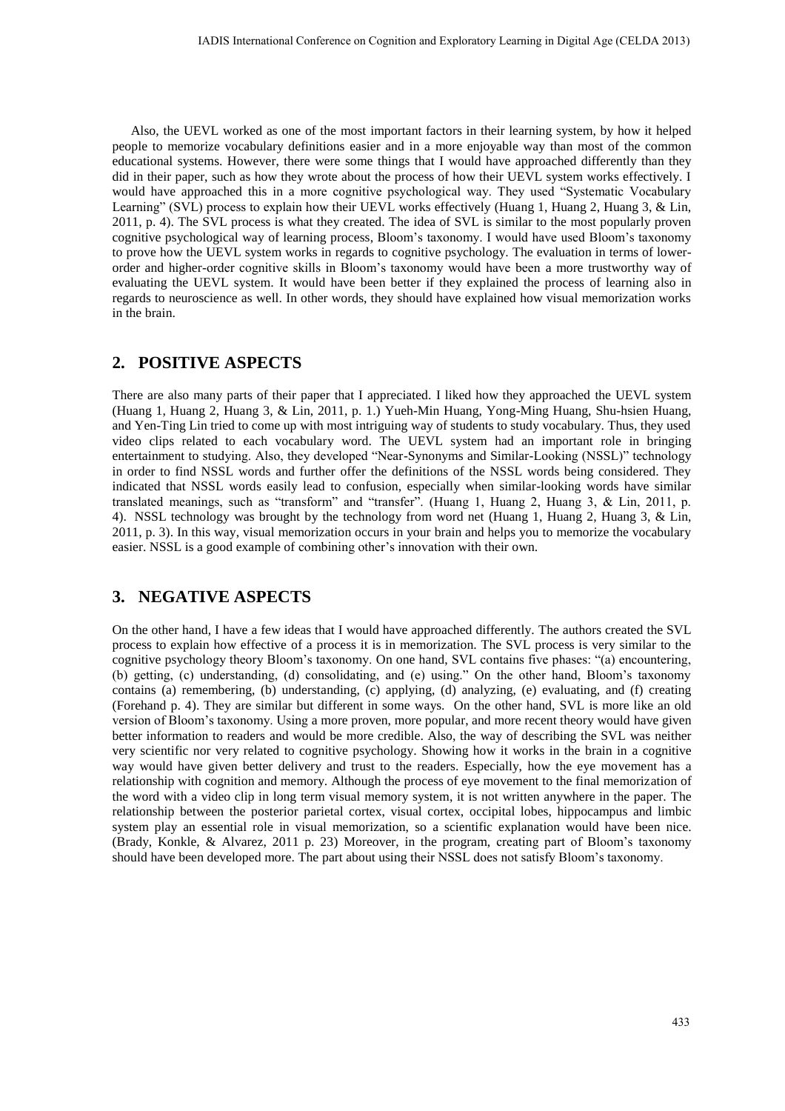Also, the UEVL worked as one of the most important factors in their learning system, by how it helped people to memorize vocabulary definitions easier and in a more enjoyable way than most of the common educational systems. However, there were some things that I would have approached differently than they did in their paper, such as how they wrote about the process of how their UEVL system works effectively. I would have approached this in a more cognitive psychological way. They used "Systematic Vocabulary Learning" (SVL) process to explain how their UEVL works effectively (Huang 1, Huang 2, Huang 3, & Lin, 2011, p. 4). The SVL process is what they created. The idea of SVL is similar to the most popularly proven cognitive psychological way of learning process, Bloom's taxonomy. I would have used Bloom's taxonomy to prove how the UEVL system works in regards to cognitive psychology. The evaluation in terms of lowerorder and higher-order cognitive skills in Bloom's taxonomy would have been a more trustworthy way of evaluating the UEVL system. It would have been better if they explained the process of learning also in regards to neuroscience as well. In other words, they should have explained how visual memorization works in the brain.

# **2. POSITIVE ASPECTS**

There are also many parts of their paper that I appreciated. I liked how they approached the UEVL system (Huang 1, Huang 2, Huang 3, & Lin, 2011, p. 1.) Yueh-Min Huang, Yong-Ming Huang, Shu-hsien Huang, and Yen-Ting Lin tried to come up with most intriguing way of students to study vocabulary. Thus, they used video clips related to each vocabulary word. The UEVL system had an important role in bringing entertainment to studying. Also, they developed "Near-Synonyms and Similar-Looking (NSSL)" technology in order to find NSSL words and further offer the definitions of the NSSL words being considered. They indicated that NSSL words easily lead to confusion, especially when similar-looking words have similar translated meanings, such as "transform" and "transfer". (Huang 1, Huang 2, Huang 3, & Lin, 2011, p. 4). NSSL technology was brought by the technology from word net (Huang 1, Huang 2, Huang 3, & Lin, 2011, p. 3). In this way, visual memorization occurs in your brain and helps you to memorize the vocabulary easier. NSSL is a good example of combining other's innovation with their own.

# **3. NEGATIVE ASPECTS**

On the other hand, I have a few ideas that I would have approached differently. The authors created the SVL process to explain how effective of a process it is in memorization. The SVL process is very similar to the cognitive psychology theory Bloom's taxonomy. On one hand, SVL contains five phases: "(a) encountering, (b) getting, (c) understanding, (d) consolidating, and (e) using." On the other hand, Bloom's taxonomy contains (a) remembering, (b) understanding, (c) applying, (d) analyzing, (e) evaluating, and (f) creating (Forehand p. 4). They are similar but different in some ways. On the other hand, SVL is more like an old version of Bloom's taxonomy. Using a more proven, more popular, and more recent theory would have given better information to readers and would be more credible. Also, the way of describing the SVL was neither very scientific nor very related to cognitive psychology. Showing how it works in the brain in a cognitive way would have given better delivery and trust to the readers. Especially, how the eye movement has a relationship with cognition and memory. Although the process of eye movement to the final memorization of the word with a video clip in long term visual memory system, it is not written anywhere in the paper. The relationship between the posterior parietal cortex, visual cortex, occipital lobes, hippocampus and limbic system play an essential role in visual memorization, so a scientific explanation would have been nice. (Brady, Konkle, & Alvarez, 2011 p. 23) Moreover, in the program, creating part of Bloom's taxonomy should have been developed more. The part about using their NSSL does not satisfy Bloom's taxonomy.